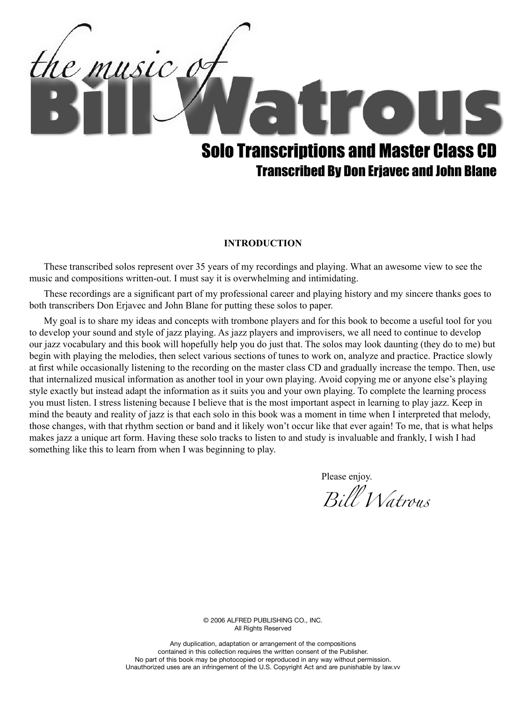

#### **INTRODUCTION**

These transcribed solos represent over 35 years of my recordings and playing. What an awesome view to see the music and compositions written-out. I must say it is overwhelming and intimidating.

These recordings are a significant part of my professional career and playing history and my sincere thanks goes to both transcribers Don Erjavec and John Blane for putting these solos to paper.

My goal is to share my ideas and concepts with trombone players and for this book to become a useful tool for you to develop your sound and style of jazz playing. As jazz players and improvisers, we all need to continue to develop our jazz vocabulary and this book will hopefully help you do just that. The solos may look daunting (they do to me) but begin with playing the melodies, then select various sections of tunes to work on, analyze and practice. Practice slowly at first while occasionally listening to the recording on the master class CD and gradually increase the tempo. Then, use that internalized musical information as another tool in your own playing. Avoid copying me or anyone else's playing style exactly but instead adapt the information as it suits you and your own playing. To complete the learning process you must listen. I stress listening because I believe that is the most important aspect in learning to play jazz. Keep in mind the beauty and reality of jazz is that each solo in this book was a moment in time when I interpreted that melody, those changes, with that rhythm section or band and it likely won't occur like that ever again! To me, that is what helps makes jazz a unique art form. Having these solo tracks to listen to and study is invaluable and frankly, I wish I had something like this to learn from when I was beginning to play.

Please enjoy.

*Bill Watrous*

© 2006 Alfred Publishing Co., Inc. All Rights Reserved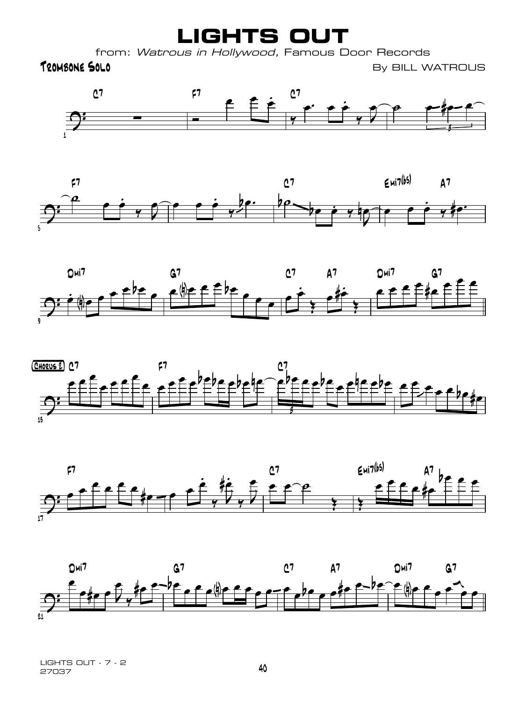**LIGHTS OUT**

from: Watrous in Hollywood, Famous Door Records

TROMBONE SOLO **TROMBONE SOLO** 











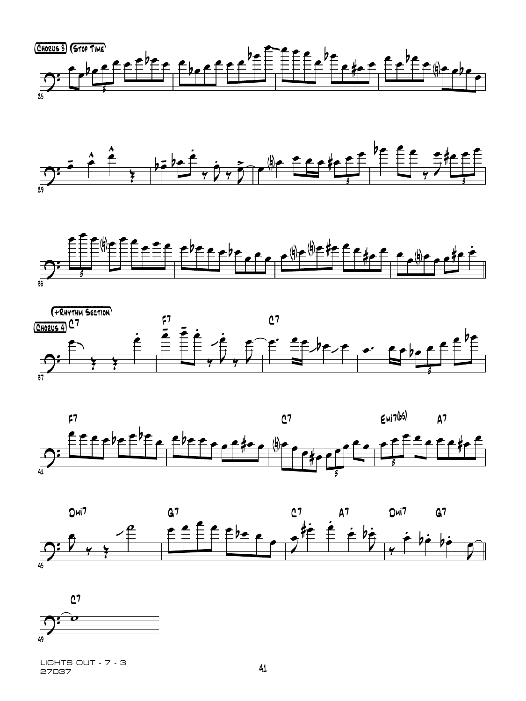













<sup>27037</sup> <sup>41</sup> LIGHTS OUT - 7 - 3